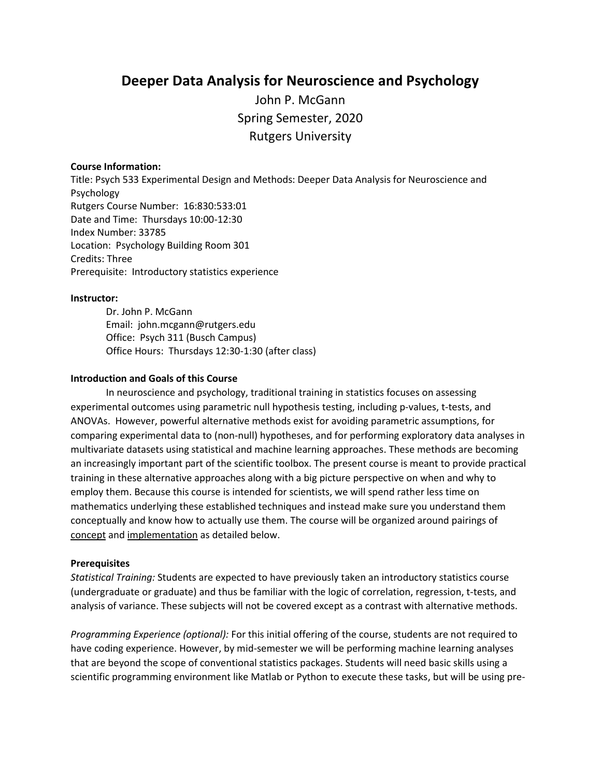# **Deeper Data Analysis for Neuroscience and Psychology**

John P. McGann Spring Semester, 2020 Rutgers University

#### **Course Information:**

Title: Psych 533 Experimental Design and Methods: Deeper Data Analysis for Neuroscience and Psychology Rutgers Course Number: 16:830:533:01 Date and Time: Thursdays 10:00-12:30 Index Number: 33785 Location: Psychology Building Room 301 Credits: Three Prerequisite: Introductory statistics experience

#### **Instructor:**

Dr. John P. McGann Email: john.mcgann@rutgers.edu Office: Psych 311 (Busch Campus) Office Hours: Thursdays 12:30-1:30 (after class)

#### **Introduction and Goals of this Course**

In neuroscience and psychology, traditional training in statistics focuses on assessing experimental outcomes using parametric null hypothesis testing, including p-values, t-tests, and ANOVAs. However, powerful alternative methods exist for avoiding parametric assumptions, for comparing experimental data to (non-null) hypotheses, and for performing exploratory data analyses in multivariate datasets using statistical and machine learning approaches. These methods are becoming an increasingly important part of the scientific toolbox. The present course is meant to provide practical training in these alternative approaches along with a big picture perspective on when and why to employ them. Because this course is intended for scientists, we will spend rather less time on mathematics underlying these established techniques and instead make sure you understand them conceptually and know how to actually use them. The course will be organized around pairings of concept and implementation as detailed below.

#### **Prerequisites**

*Statistical Training:* Students are expected to have previously taken an introductory statistics course (undergraduate or graduate) and thus be familiar with the logic of correlation, regression, t-tests, and analysis of variance. These subjects will not be covered except as a contrast with alternative methods.

*Programming Experience (optional):* For this initial offering of the course, students are not required to have coding experience. However, by mid-semester we will be performing machine learning analyses that are beyond the scope of conventional statistics packages. Students will need basic skills using a scientific programming environment like Matlab or Python to execute these tasks, but will be using pre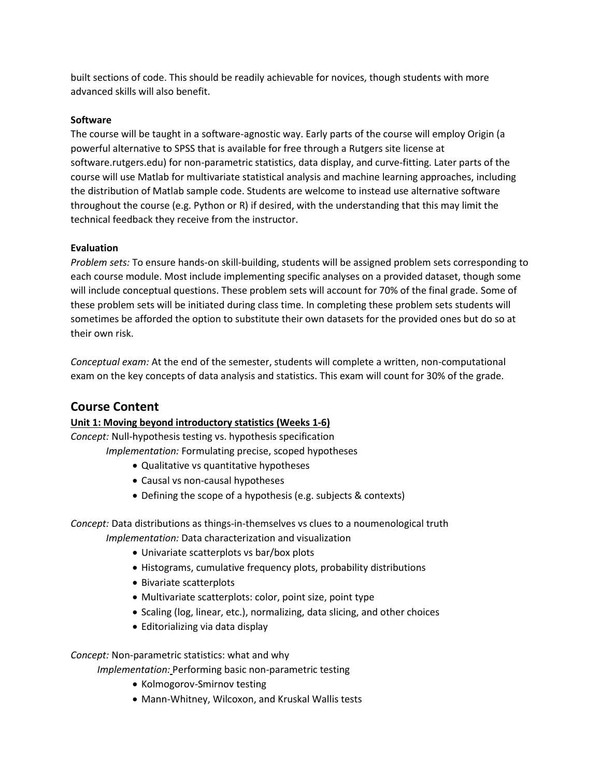built sections of code. This should be readily achievable for novices, though students with more advanced skills will also benefit.

### **Software**

The course will be taught in a software-agnostic way. Early parts of the course will employ Origin (a powerful alternative to SPSS that is available for free through a Rutgers site license at software.rutgers.edu) for non-parametric statistics, data display, and curve-fitting. Later parts of the course will use Matlab for multivariate statistical analysis and machine learning approaches, including the distribution of Matlab sample code. Students are welcome to instead use alternative software throughout the course (e.g. Python or R) if desired, with the understanding that this may limit the technical feedback they receive from the instructor.

### **Evaluation**

*Problem sets:* To ensure hands-on skill-building, students will be assigned problem sets corresponding to each course module. Most include implementing specific analyses on a provided dataset, though some will include conceptual questions. These problem sets will account for 70% of the final grade. Some of these problem sets will be initiated during class time. In completing these problem sets students will sometimes be afforded the option to substitute their own datasets for the provided ones but do so at their own risk.

*Conceptual exam:* At the end of the semester, students will complete a written, non-computational exam on the key concepts of data analysis and statistics. This exam will count for 30% of the grade.

# **Course Content**

## **Unit 1: Moving beyond introductory statistics (Weeks 1-6)**

*Concept:* Null-hypothesis testing vs. hypothesis specification

*Implementation:* Formulating precise, scoped hypotheses

- Qualitative vs quantitative hypotheses
- Causal vs non-causal hypotheses
- Defining the scope of a hypothesis (e.g. subjects & contexts)

*Concept:* Data distributions as things-in-themselves vs clues to a noumenological truth *Implementation:* Data characterization and visualization

- Univariate scatterplots vs bar/box plots
- Histograms, cumulative frequency plots, probability distributions
- Bivariate scatterplots
- Multivariate scatterplots: color, point size, point type
- Scaling (log, linear, etc.), normalizing, data slicing, and other choices
- Editorializing via data display

### *Concept:* Non-parametric statistics: what and why

*Implementation:* Performing basic non-parametric testing

- Kolmogorov-Smirnov testing
- Mann-Whitney, Wilcoxon, and Kruskal Wallis tests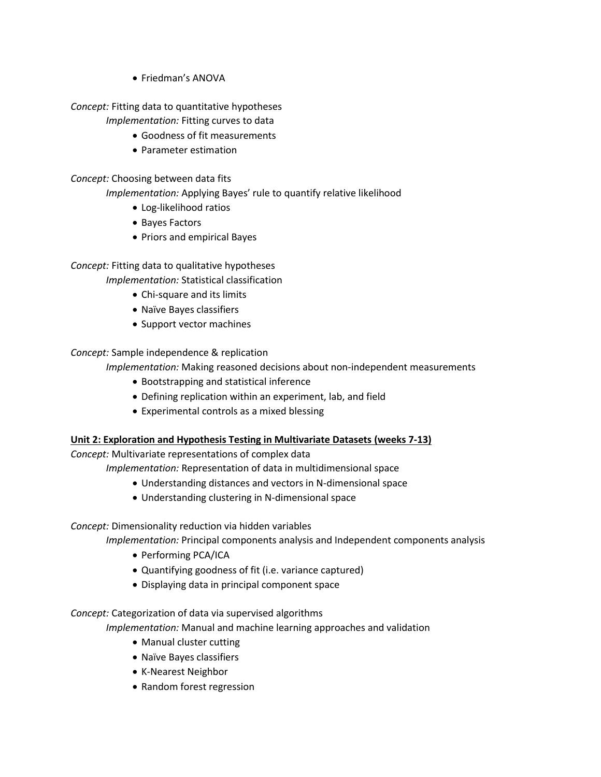• Friedman's ANOVA

### *Concept:* Fitting data to quantitative hypotheses

*Implementation:* Fitting curves to data

- Goodness of fit measurements
- Parameter estimation

### *Concept:* Choosing between data fits

*Implementation:* Applying Bayes' rule to quantify relative likelihood

- Log-likelihood ratios
- Bayes Factors
- Priors and empirical Bayes

## *Concept:* Fitting data to qualitative hypotheses

*Implementation:* Statistical classification

- Chi-square and its limits
- Naïve Bayes classifiers
- Support vector machines

## *Concept:* Sample independence & replication

*Implementation:* Making reasoned decisions about non-independent measurements

- Bootstrapping and statistical inference
- Defining replication within an experiment, lab, and field
- Experimental controls as a mixed blessing

## **Unit 2: Exploration and Hypothesis Testing in Multivariate Datasets (weeks 7-13)**

*Concept:* Multivariate representations of complex data

- *Implementation:* Representation of data in multidimensional space
	- Understanding distances and vectors in N-dimensional space
	- Understanding clustering in N-dimensional space

*Concept:* Dimensionality reduction via hidden variables

*Implementation:* Principal components analysis and Independent components analysis

- Performing PCA/ICA
- Quantifying goodness of fit (i.e. variance captured)
- Displaying data in principal component space

## *Concept:* Categorization of data via supervised algorithms

*Implementation:* Manual and machine learning approaches and validation

- Manual cluster cutting
- Naïve Bayes classifiers
- K-Nearest Neighbor
- Random forest regression